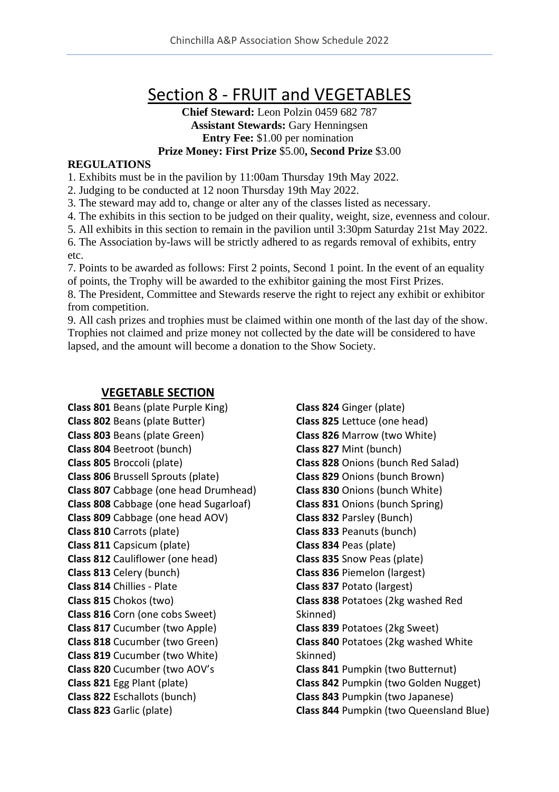# Section 8 - FRUIT and VEGETABLES

#### **Chief Steward:** Leon Polzin 0459 682 787 **Assistant Stewards:** Gary Henningsen **Entry Fee:** \$1.00 per nomination **Prize Money: First Prize** \$5.00**, Second Prize** \$3.00

#### **REGULATIONS**

1. Exhibits must be in the pavilion by 11:00am Thursday 19th May 2022.

2. Judging to be conducted at 12 noon Thursday 19th May 2022.

3. The steward may add to, change or alter any of the classes listed as necessary.

4. The exhibits in this section to be judged on their quality, weight, size, evenness and colour.

5. All exhibits in this section to remain in the pavilion until 3:30pm Saturday 21st May 2022.

6. The Association by-laws will be strictly adhered to as regards removal of exhibits, entry etc.

7. Points to be awarded as follows: First 2 points, Second 1 point. In the event of an equality of points, the Trophy will be awarded to the exhibitor gaining the most First Prizes.

8. The President, Committee and Stewards reserve the right to reject any exhibit or exhibitor from competition.

9. All cash prizes and trophies must be claimed within one month of the last day of the show. Trophies not claimed and prize money not collected by the date will be considered to have lapsed, and the amount will become a donation to the Show Society.

### **VEGETABLE SECTION**

**Class 801** Beans (plate Purple King) **Class 802** Beans (plate Butter) **Class 803** Beans (plate Green) **Class 804** Beetroot (bunch) **Class 805** Broccoli (plate) **Class 806** Brussell Sprouts (plate) **Class 807** Cabbage (one head Drumhead) **Class 808** Cabbage (one head Sugarloaf) **Class 809** Cabbage (one head AOV) **Class 810** Carrots (plate) **Class 811** Capsicum (plate) **Class 812** Cauliflower (one head) **Class 813** Celery (bunch) **Class 814** Chillies - Plate **Class 815** Chokos (two) **Class 816** Corn (one cobs Sweet) **Class 817** Cucumber (two Apple) **Class 818** Cucumber (two Green) **Class 819** Cucumber (two White) **Class 820** Cucumber (two AOV's **Class 821** Egg Plant (plate) **Class 822** Eschallots (bunch) **Class 823** Garlic (plate)

**Class 824** Ginger (plate) **Class 825** Lettuce (one head) **Class 826** Marrow (two White) **Class 827** Mint (bunch) **Class 828** Onions (bunch Red Salad) **Class 829** Onions (bunch Brown) **Class 830** Onions (bunch White) **Class 831** Onions (bunch Spring) **Class 832** Parsley (Bunch) **Class 833** Peanuts (bunch) **Class 834** Peas (plate) **Class 835** Snow Peas (plate) **Class 836** Piemelon (largest) **Class 837** Potato (largest) **Class 838** Potatoes (2kg washed Red Skinned) **Class 839** Potatoes (2kg Sweet) **Class 840** Potatoes (2kg washed White Skinned) **Class 841** Pumpkin (two Butternut) **Class 842** Pumpkin (two Golden Nugget) **Class 843** Pumpkin (two Japanese) **Class 844** Pumpkin (two Queensland Blue)